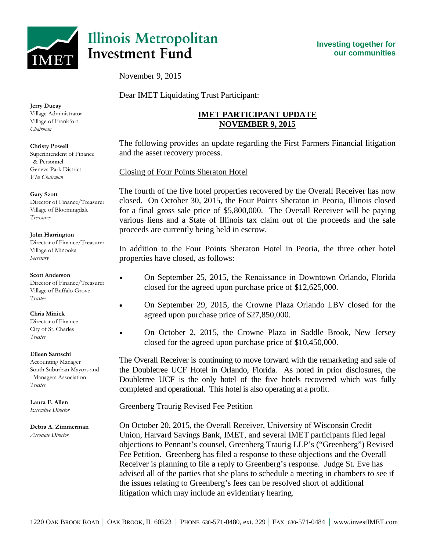

# **Illinois Metropolitan Investment Fund**

November 9, 2015

Dear IMET Liquidating Trust Participant:

## **IMET PARTICIPANT UPDATE NOVEMBER 9, 2015**

The following provides an update regarding the First Farmers Financial litigation and the asset recovery process.

Closing of Four Points Sheraton Hotel

The fourth of the five hotel properties recovered by the Overall Receiver has now closed. On October 30, 2015, the Four Points Sheraton in Peoria, Illinois closed for a final gross sale price of \$5,800,000. The Overall Receiver will be paying various liens and a State of Illinois tax claim out of the proceeds and the sale proceeds are currently being held in escrow.

In addition to the Four Points Sheraton Hotel in Peoria, the three other hotel properties have closed, as follows:

- On September 25, 2015, the Renaissance in Downtown Orlando, Florida closed for the agreed upon purchase price of \$12,625,000.
- On September 29, 2015, the Crowne Plaza Orlando LBV closed for the agreed upon purchase price of \$27,850,000.
- On October 2, 2015, the Crowne Plaza in Saddle Brook, New Jersey closed for the agreed upon purchase price of \$10,450,000.

The Overall Receiver is continuing to move forward with the remarketing and sale of the Doubletree UCF Hotel in Orlando, Florida. As noted in prior disclosures, the Doubletree UCF is the only hotel of the five hotels recovered which was fully completed and operational. This hotel is also operating at a profit.

### Greenberg Traurig Revised Fee Petition

On October 20, 2015, the Overall Receiver, University of Wisconsin Credit Union, Harvard Savings Bank, IMET, and several IMET participants filed legal objections to Pennant's counsel, Greenberg Traurig LLP's ("Greenberg") Revised Fee Petition. Greenberg has filed a response to these objections and the Overall Receiver is planning to file a reply to Greenberg's response. Judge St. Eve has advised all of the parties that she plans to schedule a meeting in chambers to see if the issues relating to Greenberg's fees can be resolved short of additional litigation which may include an evidentiary hearing.

**Jerry Ducay** Village Administrator Village of Frankfort

#### **Christy Powell**

*Chairman*

Superintendent of Finance & Personnel Geneva Park District *Vice Chairman*

#### **Gary Szott**

Director of Finance/Treasurer Village of Bloomingdale *Treasurer*

#### **John Harrington**

Director of Finance/Treasurer Village of Minooka *Secretary*

#### **Scott Anderson**

Director of Finance/Treasurer Village of Buffalo Grove *Trustee*

#### **Chris Minick**

Director of Finance City of St. Charles *Trustee*

#### **Eileen Santschi**

Accounting Manager South Suburban Mayors and Managers Association *Trustee*

**Laura F. Allen** *Executive Director*

# **Debra A. Zimmerman**

*Associate Director*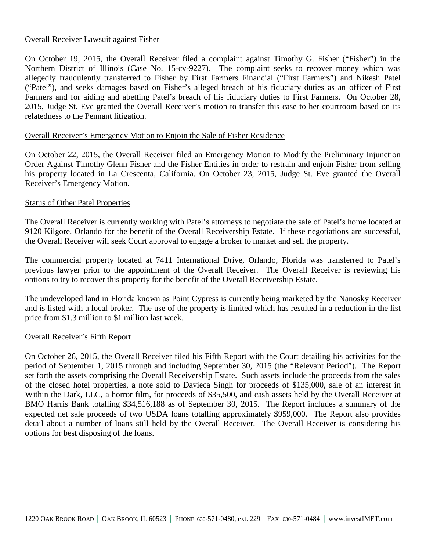#### Overall Receiver Lawsuit against Fisher

On October 19, 2015, the Overall Receiver filed a complaint against Timothy G. Fisher ("Fisher") in the Northern District of Illinois (Case No. 15-cv-9227). The complaint seeks to recover money which was allegedly fraudulently transferred to Fisher by First Farmers Financial ("First Farmers") and Nikesh Patel ("Patel"), and seeks damages based on Fisher's alleged breach of his fiduciary duties as an officer of First Farmers and for aiding and abetting Patel's breach of his fiduciary duties to First Farmers. On October 28, 2015, Judge St. Eve granted the Overall Receiver's motion to transfer this case to her courtroom based on its relatedness to the Pennant litigation.

#### Overall Receiver's Emergency Motion to Enjoin the Sale of Fisher Residence

On October 22, 2015, the Overall Receiver filed an Emergency Motion to Modify the Preliminary Injunction Order Against Timothy Glenn Fisher and the Fisher Entities in order to restrain and enjoin Fisher from selling his property located in La Crescenta, California. On October 23, 2015, Judge St. Eve granted the Overall Receiver's Emergency Motion.

#### Status of Other Patel Properties

The Overall Receiver is currently working with Patel's attorneys to negotiate the sale of Patel's home located at 9120 Kilgore, Orlando for the benefit of the Overall Receivership Estate. If these negotiations are successful, the Overall Receiver will seek Court approval to engage a broker to market and sell the property.

The commercial property located at 7411 International Drive, Orlando, Florida was transferred to Patel's previous lawyer prior to the appointment of the Overall Receiver. The Overall Receiver is reviewing his options to try to recover this property for the benefit of the Overall Receivership Estate.

The undeveloped land in Florida known as Point Cypress is currently being marketed by the Nanosky Receiver and is listed with a local broker. The use of the property is limited which has resulted in a reduction in the list price from \$1.3 million to \$1 million last week.

#### Overall Receiver's Fifth Report

On October 26, 2015, the Overall Receiver filed his Fifth Report with the Court detailing his activities for the period of September 1, 2015 through and including September 30, 2015 (the "Relevant Period"). The Report set forth the assets comprising the Overall Receivership Estate. Such assets include the proceeds from the sales of the closed hotel properties, a note sold to Davieca Singh for proceeds of \$135,000, sale of an interest in Within the Dark, LLC, a horror film, for proceeds of \$35,500, and cash assets held by the Overall Receiver at BMO Harris Bank totalling \$34,516,188 as of September 30, 2015. The Report includes a summary of the expected net sale proceeds of two USDA loans totalling approximately \$959,000. The Report also provides detail about a number of loans still held by the Overall Receiver. The Overall Receiver is considering his options for best disposing of the loans.